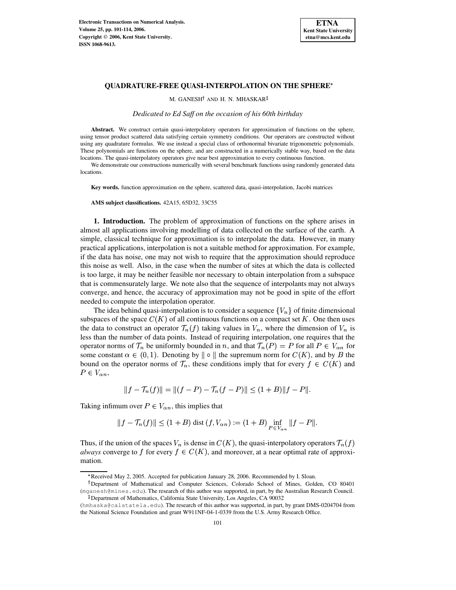

M. GANESH<sup>†</sup> AND H. N. MHASKAR

*Dedicated to Ed Saff on the occasion of his 60th birthday*

**Abstract.** We construct certain quasi-interpolatory operators for approximation of functions on the sphere, using tensor product scattered data satisfying certain symmetry conditions. Our operators are constructed without using any quadrature formulas. We use instead a special class of orthonormal bivariate trigonometric polynomials. These polynomials are functions on the sphere, and are constructed in a numerically stable way, based on the data locations. The quasi-interpolatory operators give near best approximation to every continuous function.

We demonstrate our constructions numerically with several benchmark functions using randomly generated data locations.

**Key words.** function approximation on the sphere, scattered data, quasi-interpolation, Jacobi matrices

**AMS subject classifications.** 42A15, 65D32, 33C55

<span id="page-0-0"></span>**1. Introduction.** The problem of approximation of functions on the sphere arises in almost all applications involving modelling of data collected on the surface of the earth. A simple, classical technique for approximation is to interpolate the data. However, in many practical applications, interpolation is not a suitable method for approximation. For example, if the data has noise, one may not wish to require that the approximation should reproduce this noise as well. Also, in the case when the number of sites at which the data is collected is too large, it may be neither feasible nor necessary to obtain interpolation from a subspace that is commensurately large. We note also that the sequence of interpolants may not always converge, and hence, the accuracy of approximation may not be good in spite of the effort needed to compute the interpolation operator.

The idea behind quasi-interpolation is to consider a sequence  $\{V_n\}$  of finite dimensional subspaces of the space  $C(K)$  of all continuous functions on a compact set K. One then uses the data to construct an operator  $\mathcal{T}_n(f)$  taking values in  $V_n$ , where the dimension of  $V_n$  is less than the number of data points. Instead of requiring interpolation, one requires that the operator norms of  $\mathcal{T}_n$  be uniformly bounded in n, and that  $\mathcal{T}_n(P) = P$  for all  $P \in V_{\alpha n}$  for some constant  $\alpha \in (0,1)$ . Denoting by  $\|\circ\|$  the supremum norm for  $C(K)$ , and by B the bound on the operator norms of  $\mathcal{T}_n$ , these conditions imply that for every  $f \in C(K)$  and  $P \in V_{\alpha n}$ ,

$$
||f - \mathcal{T}_n(f)|| = ||(f - P) - \mathcal{T}_n(f - P)|| \le (1 + B) ||f - P||.
$$

Taking infimum over  $P \in V_{\alpha n}$ , this implies that

$$
||f - \mathcal{T}_n(f)|| \le (1 + B) \text{ dist } (f, V_{\alpha n}) := (1 + B) \inf_{P \in V_{\alpha n}} ||f - P||.
$$

Thus, if the union of the spaces  $V_n$  is dense in  $C(K)$ , the quasi-interpolatory operators  $\mathcal{T}_n(f)$ *always* converge to f for every  $f \in C(K)$ , and moreover, at a near optimal rate of approximation.

<sup>\*</sup> Received May 2, 2005. Accepted for publication January 28, 2006. Recommended by I. Sloan.

<sup>&</sup>lt;sup>†</sup>Department of Mathematical and Computer Sciences, Colorado School of Mines, Golden, CO 80401 (mganesh@mines.edu). The research of this author was supported, in part, by the Australian Research Council. - Department of Mathematics, California State University, Los Angeles, CA 90032

<sup>(</sup>hmhaska@calstatela.edu). The research of this author was supported, in part, by grant DMS-0204704 from the National Science Foundation and grant W911NF-04-1-0339 from the U.S. Army Research Office.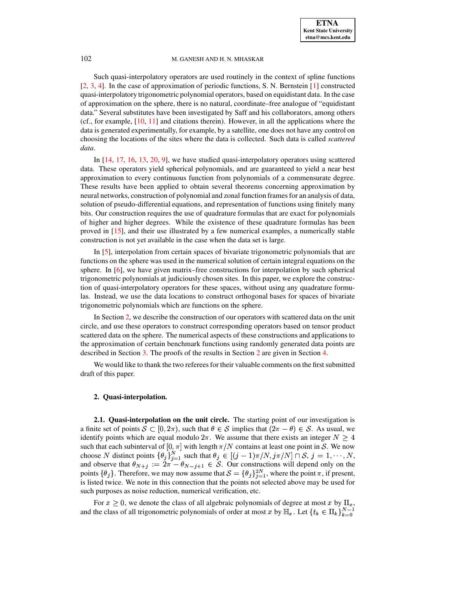Such quasi-interpolatory operators are used routinely in the context of spline functions [\[2,](#page-12-0) [3,](#page-12-1) [4\]](#page-12-2). In the case of approximation of periodic functions, S. N. Bernstein [\[1\]](#page-12-3) constructed quasi-interpolatory trigonometric polynomial operators, based on equidistant data. In the case of approximation on the sphere, there is no natural, coordinate–free analogue of "equidistant data." Several substitutes have been investigated by Saff and his collaborators, among others (cf., for example, [\[10,](#page-12-4) [11\]](#page-12-5) and citations therein). However, in all the applications where the data is generated experimentally, for example, by a satellite, one does not have any control on choosing the locations of the sites where the data is collected. Such data is called *scattered data*.

In [\[14,](#page-12-6) [17,](#page-12-7) [16,](#page-12-8) [13,](#page-12-9) [20,](#page-13-0) [9\]](#page-12-10), we have studied quasi-interpolatory operators using scattered data. These operators yield spherical polynomials, and are guaranteed to yield a near best approximation to every continuous function from polynomials of a commensurate degree. These results have been applied to obtain several theorems concerning approximation by neural networks, construction of polynomial and zonal function framesfor an analysis of data, solution of pseudo-differential equations, and representation of functions using finitely many bits. Our construction requires the use of quadrature formulas that are exact for polynomials of higher and higher degrees. While the existence of these quadrature formulas has been proved in [\[15\]](#page-12-11), and their use illustrated by a few numerical examples, a numerically stable construction is not yet available in the case when the data set is large.

In [\[5\]](#page-12-12), interpolation from certain spaces of bivariate trigonometric polynomials that are functions on the sphere was used in the numerical solution of certain integral equations on the sphere. In  $[6]$ , we have given matrix–free constructions for interpolation by such spherical trigonometric polynomials at judiciously chosen sites. In this paper, we explore the construction of quasi-interpolatory operators for these spaces, without using any quadrature formulas. Instead, we use the data locations to construct orthogonal bases for spaces of bivariate trigonometric polynomials which are functions on the sphere.

In Section [2,](#page-1-0) we describe the construction of our operators with scattered data on the unit circle, and use these operators to construct corresponding operators based on tensor product scattered data on the sphere. The numerical aspects of these constructions and applications to the approximation of certain benchmark functions using randomly generated data points are described in Section [3.](#page-4-0) The proofs of the results in Section [2](#page-1-0) are given in Section [4.](#page-6-0)

<span id="page-1-0"></span>We would like to thank the two referees for their valuable comments on the first submitted draft of this paper.

# **2. Quasi-interpolation.**

**2.1. Quasi-interpolation on the unit circle.** The starting point of our investigation is a finite set of points  $S \subset [0, 2\pi)$ , such that  $\theta \in S$  implies that  $(2\pi - \theta) \in S$ . As usual, we identify points which are equal modulo  $2\pi$ . We assume that there exists an integer  $N \geq 4$ such that each subinterval of  $[0, \pi]$  with length  $\pi/N$  contains at least one point in S. We now choose N distinct points  $\{\theta_j\}_{i=1}^N$  such that  $\theta_j \in [(j-1)\pi/N, j\pi/N] \cap S, j=1,\cdots,N,$ and observe that  $\theta_{N+j} := 2\pi - \theta_{N-j+1} \in S$ . Our constructions will depend only on the points  $\{\theta_i\}$ . Therefore, we may now assume that  $\mathcal{S} = \{\theta_i\}_{i=1}^{2N}$ , where the point  $\pi$ , if present, is listed twice. We note in this connection that the points not selected above may be used for such purposes as noise reduction, numerical verification, etc.

For  $x \geq 0$ , we denote the class of all algebraic polynomials of degree at most x by  $\Pi_x$ , and the class of all trigonometric polynomials of order at most x by  $\mathbb{H}_x$ . Let  $\{t_k \in \Pi_k\}_{k=0}^{N-1}$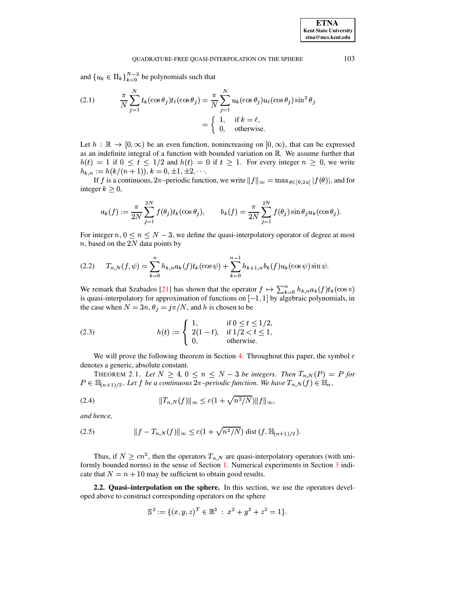and  ${u_k \in \Pi_k}_{k=0}^{N-3}$  be polynomials such that

<span id="page-2-4"></span>(2.1) 
$$
\frac{\pi}{N} \sum_{j=1}^{N} t_k(\cos \theta_j) t_\ell(\cos \theta_j) = \frac{\pi}{N} \sum_{j=1}^{N} u_k(\cos \theta_j) u_\ell(\cos \theta_j) \sin^2 \theta_j
$$

$$
= \begin{cases} 1, & \text{if } k = \ell, \\ 0, & \text{otherwise.} \end{cases}
$$

Let  $h : \mathbb{R} \to [0, \infty)$  be an even function, nonincreasing on  $[0, \infty)$ , that can be expressed as an indefinite integral of a function with bounded variation on  $\mathbb R$ . We assume further that  $h(t) = 1$  if  $0 \le t \le 1/2$  and  $h(t) = 0$  if  $t \ge 1$ . For every integer  $n \ge 0$ , we write  $h_{k,n} := h(k/(n+1)), k = 0, \pm 1, \pm 2, \cdots$ 

If f is a continuous,  $2\pi$ -periodic function, we write  $||f||_{\infty} = \max_{\theta \in [0,2\pi]} |f(\theta)|$ , and for integer  $k \geq 0$ ,

$$
a_k(f) := \frac{\pi}{2N} \sum_{j=1}^{2N} f(\theta_j) t_k(\cos \theta_j), \qquad b_k(f) = \frac{\pi}{2N} \sum_{j=1}^{2N} f(\theta_j) \sin \theta_j u_k(\cos \theta_j).
$$

For integer  $n, 0 \le n \le N-3$ , we define the quasi-interpolatory operator of degree at most  $n$ , based on the 2N data points by

<span id="page-2-0"></span>
$$
(2.2) \tT_{n,N}(f,\psi) = \sum_{k=0}^{n} h_{k,n} a_k(f) t_k(\cos\psi) + \sum_{k=0}^{n-1} h_{k+1,n} b_k(f) u_k(\cos\psi) \sin\psi.
$$

We remark that Szabados [21] has shown that the operator  $f \mapsto \sum_{k=0}^{n} h_{k,n} a_k(f) t_k(\cos \circ)$ is quasi-interpolatory for approximation of functions on  $[-1, 1]$  by algebraic polynomials, in the case when  $N = 3n$ ,  $\theta_j = j\pi/N$ , and h is chosen to be

<span id="page-2-2"></span>(2.3) 
$$
h(t) := \begin{cases} 1, & \text{if } 0 \le t \le 1/2, \\ 2(1-t), & \text{if } 1/2 < t \le 1, \\ 0, & \text{otherwise.} \end{cases}
$$

We will prove the following theorem in Section 4. Throughout this paper, the symbol  $c$ denotes a generic, absolute constant.

<span id="page-2-3"></span>THEOREM 2.1. Let  $N \geq 4$ ,  $0 \leq n \leq N-3$  be integers. Then  $T_{n,N}(P) = P$  for  $P \in \mathbb{H}_{(n+1)/2}$ . Let f be a continuous  $2\pi$ -periodic function. We have  $T_{n,N}(f) \in \mathbb{H}_n$ ,

<span id="page-2-5"></span>(2.4) 
$$
||T_{n,N}(f)||_{\infty} \leq c(1 + \sqrt{n^2/N})||f||_{\infty}
$$

and hence,

<span id="page-2-1"></span>(2.5) 
$$
||f - T_{n,N}(f)||_{\infty} \leq c(1 + \sqrt{n^2/N}) \text{ dist }(f, \mathbb{H}_{(n+1)/2}).
$$

Thus, if  $N \geq cn^2$ , then the operators  $T_{n,N}$  are quasi-interpolatory operators (with uniformly bounded norms) in the sense of Section 1. Numerical experiments in Section 3 indicate that  $N = n + 10$  may be sufficient to obtain good results.

2.2. Quasi-interpolation on the sphere. In this section, we use the operators developed above to construct corresponding operators on the sphere

$$
\mathbb{S}^2 := \{ (x, y, z)^T \in \mathbb{R}^3 \ : \ x^2 + y^2 + z^2 = 1 \}.
$$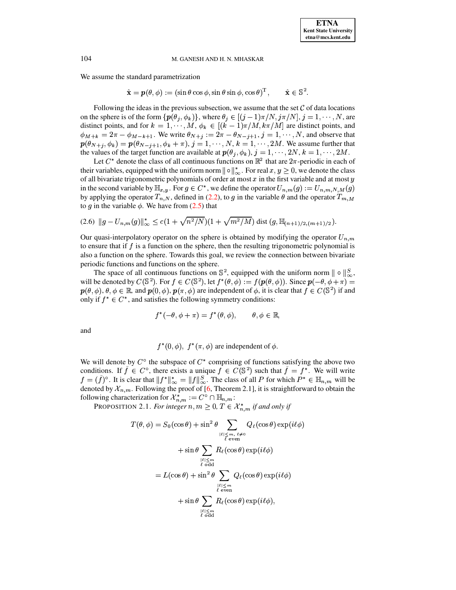We assume the standard parametrization

 $\hat{\mathbf{x}} = \mathbf{p}(\theta, \phi) := (\sin \theta \cos \phi, \sin \theta \sin \phi, \cos \theta)^{\mathrm{T}},$  $\hat{\mathbf{x}} \in \mathbb{S}^2$ .

Following the ideas in the previous subsection, we assume that the set  $\mathcal C$  of data locations on the sphere is of the form  $\{p(\theta_j, \phi_k)\}\$ , where  $\theta_j \in [(j-1)\pi/N, j\pi/N], j = 1, \dots, N$ , are distinct points, and for  $k = 1, \dots, M$ ,  $\phi_k \in [(k-1)\pi/M, k\pi/M]$  are distinct points, and  $\phi_{M+k} = 2\pi - \phi_{M-k+1}$ . We write  $\theta_{N+j} := 2\pi - \theta_{N-j+1}$ ,  $j = 1, \dots, N$ , and observe that  $p(\theta_{N+j}, \phi_k) = p(\theta_{N-j+1}, \phi_k + \pi), j = 1, \dots, N, k = 1, \dots, 2M$ . We assume further that the values of the target function are available at  $p(\theta_j, \phi_k)$ ,  $j = 1, \dots, 2N$ ,  $k = 1, \dots, 2M$ .

Let  $C^*$  denote the class of all continuous functions on  $\mathbb{R}^2$  that are  $2\pi$ -periodic in each of their variables, equipped with the uniform norm  $\|\circ\|_{\infty}^*$ . For real  $x, y \ge 0$ , we denote the class of all bivariate trigonometric polynomials of order at most  $x$  in the first variable and at most  $y$ in the second variable by  $\mathbb{H}_{x,y}$ . For  $g \in C^*$ , we define the operator  $U_{n,m}(g) := U_{n,m,N,M}(g)$ by applying the operator  $T_{n,N}$ , defined in (2.2), to g in the variable  $\theta$  and the operator  $T_{m,M}$ to q in the variable  $\phi$ . We have from (2.5) that

<span id="page-3-0"></span>
$$
(2.6) \|g - U_{n,m}(g)\|_{\infty}^* \leq c(1 + \sqrt{n^2/N})(1 + \sqrt{m^2/M}) \text{ dist } (g, \mathbb{H}_{(n+1)/2, (m+1)/2}).
$$

Our quasi-interpolatory operator on the sphere is obtained by modifying the operator  $U_{n,m}$ to ensure that if  $f$  is a function on the sphere, then the resulting trigonometric polynomial is also a function on the sphere. Towards this goal, we review the connection between bivariate periodic functions and functions on the sphere.

The space of all continuous functions on  $\mathbb{S}^2$ , equipped with the uniform norm  $\| \circ \|_{\infty}^S$ , will be denoted by  $C(\mathbb{S}^2)$ . For  $f \in C(\mathbb{S}^2)$ , let  $f^*(\theta, \phi) := f(p(\theta, \phi))$ . Since  $p(-\theta, \phi + \pi) =$  $\mathbf{p}(\theta,\phi),\theta,\phi\in\mathbb{R}$ , and  $\mathbf{p}(0,\phi),\mathbf{p}(\pi,\phi)$  are independent of  $\phi$ , it is clear that  $f\in C(\mathbb{S}^2)$  if and only if  $f^* \in C^*$ , and satisfies the following symmetry conditions:

$$
f^*(-\theta, \phi + \pi) = f^*(\theta, \phi), \qquad \theta, \phi \in \mathbb{R},
$$

and

 $f^*(0, \phi)$ ,  $f^*(\pi, \phi)$  are independent of  $\phi$ .

We will denote by  $C^{\circ}$  the subspace of  $C^*$  comprising of functions satisfying the above two conditions. If  $\tilde{f} \in C^{\circ}$ , there exists a unique  $f \in C(\mathbb{S}^2)$  such that  $\tilde{f} = f^*$ . We will write  $f = (\tilde{f})^{\circ}$ . It is clear that  $||f^*||_{\infty}^* = ||f||_{\infty}^S$ . The class of all P for which  $P^* \in \mathbb{H}_{n,m}$  will be denoted by  $\mathcal{X}_{n,m}$ . Following the proof of [6, Theorem 2.1], it is straightforward to obtain the following characterization for  $\mathcal{X}_{n,m}^* := C^{\circ} \cap \mathbb{H}_{n,m}$ :

PROPOSITION 2.1. For integer  $n, m \ge 0$ ,  $T \in \mathcal{X}_{n,m}^*$  if and only if

$$
T(\theta, \phi) = S_0(\cos \theta) + \sin^2 \theta \sum_{\substack{|\ell| \le m, \ell \neq 0 \\ \ell \text{ even}}} Q_{\ell}(\cos \theta) \exp(i\ell\phi)
$$

$$
+ \sin \theta \sum_{\substack{|\ell| \le m \\ \ell \text{ odd}}} R_{\ell}(\cos \theta) \exp(i\ell\phi)
$$

$$
= L(\cos \theta) + \sin^2 \theta \sum_{\substack{|\ell| \le m \\ \ell \text{ even}}} Q_{\ell}(\cos \theta) \exp(i\ell\phi)
$$

$$
+ \sin \theta \sum_{\substack{|\ell| \le m \\ \ell \text{ odd}}} R_{\ell}(\cos \theta) \exp(i\ell\phi),
$$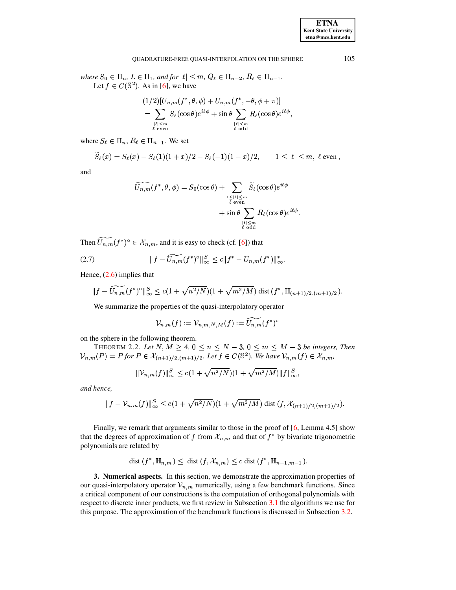where  $S_0 \in \Pi_n$ ,  $L \in \Pi_1$ , and for  $|\ell| \leq m$ ,  $Q_\ell \in \Pi_{n-2}$ ,  $R_\ell \in \Pi_{n-1}$ . Let  $f \in C(\mathbb{S}^2)$ . As in [6], we have

$$
(1/2)[U_{n,m}(f^*,\theta,\phi)+U_{n,m}(f^*,-\theta,\phi+\pi)]
$$
  
= 
$$
\sum_{\substack{\ell \leq m \\ \ell \text{ even}}} S_{\ell}(\cos \theta) e^{i\ell\phi} + \sin \theta \sum_{\substack{\lvert \ell \rvert \leq m \\ \ell \text{ odd}}} R_{\ell}(\cos \theta) e^{i\ell\phi},
$$

where  $S_\ell \in \Pi_n$ ,  $R_\ell \in \Pi_{n-1}$ . We set

$$
\widetilde{S}_{\ell}(x) = S_{\ell}(x) - S_{\ell}(1)(1+x)/2 - S_{\ell}(-1)(1-x)/2, \qquad 1 \leq |\ell| \leq m, \ \ell \text{ even},
$$

and

$$
\widetilde{U_{n,m}}(f^*,\theta,\phi) = S_0(\cos\theta) + \sum_{\substack{1 \leq |\ell| \leq m \\ \ell \text{ even}}} \widetilde{S}_{\ell}(\cos\theta)e^{i\ell\phi} \n+ \sin\theta \sum_{\substack{|\ell| \leq m \\ \ell \text{ odd}}} R_{\ell}(\cos\theta)e^{i\ell\phi}
$$

Then  $\widetilde{U_{n,m}}(f^*)^{\circ} \in \mathcal{X}_{n,m}$ , and it is easy to check (cf. [6]) that

<span id="page-4-1"></span>(2.7) 
$$
||f - \widetilde{U_{n,m}}(f^*)^{\circ}||_{\infty}^S \le c||f^* - U_{n,m}(f^*)||_{\infty}^*
$$

Hence,  $(2.6)$  implies that

$$
||f - \widetilde{U_{n,m}}(f^*)^{\circ}||_{\infty}^S \leq c(1 + \sqrt{n^2/N})(1 + \sqrt{m^2/M}) \text{ dist }(f^*, \mathbb{H}_{(n+1)/2,(m+1)/2}).
$$

We summarize the properties of the quasi-interpolatory operator

$$
{\mathcal V}_{n,m}(f):={\mathcal V}_{n,m,N,M}(f):=\widetilde{U_{n,m}}(f^*)^{\circ}
$$

on the sphere in the following theorem.

THEOREM 2.2. Let  $N, M \geq 4, 0 \leq n \leq N-3, 0 \leq m \leq M-3$  be integers, Then  $V_{n,m}(P) = P$  for  $P \in \mathcal{X}_{(n+1)/2,(m+1)/2}$ . Let  $f \in C(\mathbb{S}^2)$ . We have  $V_{n,m}(f) \in \mathcal{X}_{n,m}$ ,

$$
\|\mathcal{V}_{n,m}(f)\|_{\infty}^{S} \le c(1+\sqrt{n^2/N})(1+\sqrt{m^2/M})\|f\|_{\infty}^{S},
$$

and hence,

$$
||f - V_{n,m}(f)||_{\infty}^S \le c(1 + \sqrt{n^2/N})(1 + \sqrt{m^2/M}) \text{ dist } (f, \mathcal{X}_{(n+1)/2,(m+1)/2}).
$$

Finally, we remark that arguments similar to those in the proof of  $[6,$  Lemma 4.5] show that the degrees of approximation of f from  $\mathcal{X}_{n,m}$  and that of  $f^*$  by bivariate trigonometric polynomials are related by

$$
\text{dist}(f^*, \mathbb{H}_{n,m}) \leq \text{dist}(f, \mathcal{X}_{n,m}) \leq c \text{dist}(f^*, \mathbb{H}_{n-1,m-1}).
$$

<span id="page-4-0"></span>3. Numerical aspects. In this section, we demonstrate the approximation properties of our quasi-interpolatory operator  $\mathcal{V}_{n,m}$  numerically, using a few benchmark functions. Since a critical component of our constructions is the computation of orthogonal polynomials with respect to discrete inner products, we first review in Subsection 3.1 the algorithms we use for this purpose. The approximation of the benchmark functions is discussed in Subsection 3.2.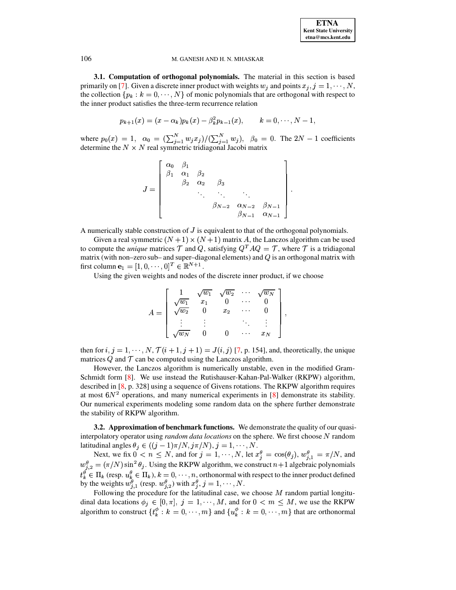<span id="page-5-0"></span>3.1. Computation of orthogonal polynomials. The material in this section is based primarily on [7]. Given a discrete inner product with weights  $w_j$  and points  $x_j$ ,  $j = 1, \dots, N$ , the collection  $\{p_k : k = 0, \dots, N\}$  of monic polynomials that are orthogonal with respect to the inner product satisfies the three-term recurrence relation

$$
p_{k+1}(x) = (x - \alpha_k)p_k(x) - \beta_k^2 p_{k-1}(x), \qquad k = 0, \cdots, N-1,
$$

where  $p_0(x) = 1$ ,  $\alpha_0 = (\sum_{j=1}^N w_j x_j)/(\sum_{j=1}^N w_j)$ ,  $\beta_0 = 0$ . The  $2N - 1$  coefficients determine the  $N \times N$  real symmetric tridiagonal Jacobi matrix

$$
J = \begin{bmatrix} \alpha_0 & \beta_1 \\ \beta_1 & \alpha_1 & \beta_2 \\ & \beta_2 & \alpha_2 & \beta_3 \\ & & \ddots & \ddots & \ddots \\ & & & \beta_{N-2} & \alpha_{N-2} & \beta_{N-1} \\ & & & & \beta_{N-1} & \alpha_{N-1} \end{bmatrix}.
$$

A numerically stable construction of  $J$  is equivalent to that of the orthogonal polynomials.

Given a real symmetric  $(N + 1) \times (N + 1)$  matrix A, the Lanczos algorithm can be used to compute the *unique* matrices T and Q, satisfying  $Q^T A Q = T$ , where T is a tridiagonal matrix (with non-zero sub- and super-diagonal elements) and  $Q$  is an orthogonal matrix with first column  $\mathbf{e}_1 = [1, 0, \cdots, 0]^T \in \mathbb{R}^{N+1}$ .

Using the given weights and nodes of the discrete inner product, if we choose

$$
A = \begin{bmatrix} 1 & \sqrt{w_1} & \sqrt{w_2} & \cdots & \sqrt{w_N} \\ \sqrt{w_1} & x_1 & 0 & \cdots & 0 \\ \sqrt{w_2} & 0 & x_2 & \cdots & 0 \\ \vdots & \vdots & & \ddots & \vdots \\ \sqrt{w_N} & 0 & 0 & \cdots & x_N \end{bmatrix}
$$

then for  $i, j = 1, \dots, N, \mathcal{T}(i + 1, j + 1) = J(i, j)$  [7, p. 154], and, theoretically, the unique matrices  $Q$  and  $T$  can be computed using the Lanczos algorithm.

However, the Lanczos algorithm is numerically unstable, even in the modified Gram-Schmidt form [8]. We use instead the Rutishauser-Kahan-Pal-Walker (RKPW) algorithm, described in  $[8, p. 328]$  using a sequence of Givens rotations. The RKPW algorithm requires at most  $6N^2$  operations, and many numerical experiments in [8] demonstrate its stability. Our numerical experiments modeling some random data on the sphere further demonstrate the stability of RKPW algorithm.

<span id="page-5-1"></span>**3.2. Approximation of benchmark functions.** We demonstrate the quality of our quasiinterpolatory operator using *random data locations* on the sphere. We first choose N random latitudinal angles  $\theta_j \in ((j-1)\pi/N, j\pi/N), j = 1, \dots, N$ .

Next, we fix  $0 \lt n \leq N$ , and for  $j = 1, \dots, N$ , let  $x_j^{\theta} = \cos(\theta_j)$ ,  $w_{j,1}^{\theta} = \pi/N$ , and  $w_{j,2}^{\theta} = (\pi/N) \sin^2 \theta_j$ . Using the RKPW algorithm, we construct  $n+1$  algebraic polynomials  $t_k^{\theta} \in \Pi_k$  (resp.  $u_k^{\theta} \in \Pi_k$ ),  $k = 0, \dots, n$ , orthonormal with respect to the inner product defined by the weights  $w_{j,1}^{\theta}$  (resp.  $w_{j,2}^{\theta}$ ) with  $x_j^{\theta}$ ,  $j = 1, \dots, N$ .

Following the procedure for the latitudinal case, we choose  $M$  random partial longitudinal data locations  $\phi_j \in [0, \pi]$ ,  $j = 1, \dots, M$ , and for  $0 < m \leq M$ , we use the RKPW algorithm to construct  $\{t_k^{\phi}: k = 0, \dots, m\}$  and  $\{u_k^{\phi}: k = 0, \dots, m\}$  that are orthonormal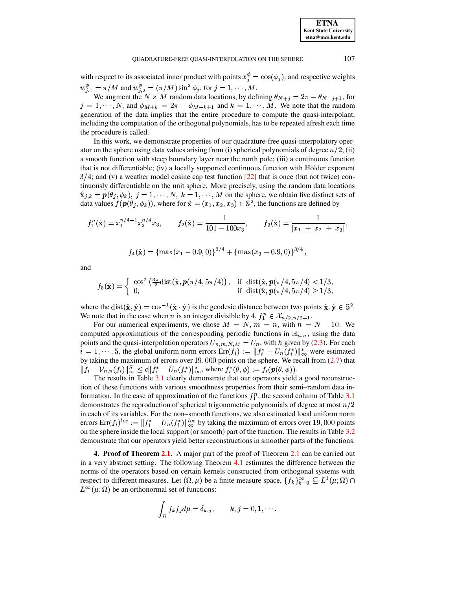with respect to its associated inner product with points  $x_i^{\phi} = \cos(\phi_i)$ , and respective weights  $w_{j,1}^{\phi} = \pi/M$  and  $w_{j,2}^{\phi} = (\pi/M) \sin^2 \phi_j$ , for  $j = 1, \dots, M$ .

We augment the  $N \times M$  random data locations, by defining  $\theta_{N+j} = 2\pi - \theta_{N-j+1}$ , for  $j = 1, \dots, N$ , and  $\phi_{M+k} = 2\pi - \phi_{M-k+1}$  and  $k = 1, \dots, M$ . We note that the random generation of the data implies that the entire procedure to compute the quasi-interpolant, including the computation of the orthogonal polynomials, has to be repeated afresh each time the procedure is called.

In this work, we demonstrate properties of our quadrature-free quasi-interpolatory operator on the sphere using data values arising from (i) spherical polynomials of degree  $n/2$ ; (ii) a smooth function with steep boundary layer near the north pole; (iii) a continuous function that is not differentiable; (iv) a locally supported continuous function with Hölder exponent  $3/4$ ; and (v) a weather model cosine cap test function [22] that is once (but not twice) continuously differentiable on the unit sphere. More precisely, using the random data locations  $\hat{\mathbf{x}}_{j,k} = \mathbf{p}(\theta_j, \phi_k), j = 1, \dots, N, k = 1, \dots, M$  on the sphere, we obtain five distinct sets of data values  $f(\mathbf{p}(\theta_i, \phi_k))$ , where for  $\hat{\mathbf{x}} = (x_1, x_2, x_3) \in \mathbb{S}^2$ , the functions are defined by

$$
f_1^n(\hat{\mathbf{x}}) = x_1^{n/4-1} x_2^{n/4} x_3
$$
,  $f_2(\hat{\mathbf{x}}) = \frac{1}{101 - 100x_3}$ ,  $f_3(\hat{\mathbf{x}}) = \frac{1}{|x_1| + |x_2| + |x_3|}$ 

$$
f_4(\hat{\mathbf{x}}) = {\max(x_1 - 0.9, 0)}^{3/4} + {\max(x_3 - 0.9, 0)}^{3/4},
$$

and

$$
f_5(\hat{\mathbf{x}}) = \begin{cases} \cos^2\left(\frac{3\pi}{2}\mathrm{dist}(\hat{\mathbf{x}}, \boldsymbol{p}(\pi/4, 5\pi/4)\right), & \text{if } \mathrm{dist}(\hat{\mathbf{x}}, \boldsymbol{p}(\pi/4, 5\pi/4) < 1/3, \\ 0, & \text{if } \mathrm{dist}(\hat{\mathbf{x}}, \boldsymbol{p}(\pi/4, 5\pi/4) \ge 1/3, \end{cases}
$$

where the dist $(\hat{\mathbf{x}}, \hat{\mathbf{y}}) = \cos^{-1}(\hat{\mathbf{x}} \cdot \hat{\mathbf{y}})$  is the geodesic distance between two points  $\hat{\mathbf{x}}, \hat{\mathbf{y}} \in \mathbb{S}^2$ . We note that in the case when *n* is an integer divisible by 4,  $f_1^n \in \mathcal{X}_{n/2,n/2-1}$ .

For our numerical experiments, we chose  $M = N$ ,  $m = n$ , with  $n = N - 10$ . We computed approximations of the corresponding periodic functions in  $\mathbb{H}_{n,n}$ , using the data points and the quasi-interpolation operators  $U_{n,m,N,M} = U_n$ , with h given by (2.3). For each  $i = 1, \dots, 5$ , the global uniform norm errors  $Err(f_i) := ||f_i^* - U_n(f_i^*)||_{\infty}^*$  were estimated by taking the maximum of errors over  $19,000$  points on the sphere. We recall from  $(2.7)$  that  $||f_i - \mathcal{V}_{n,n}(f_i)||_{\infty}^S \le c||f_i^* - U_n(f_i^*)||_{\infty}^*,$  where  $f_i^*(\theta, \phi) := f_i(\mathbf{p}(\theta, \phi)).$ 

The results in Table 3.1 clearly demonstrate that our operators yield a good reconstruction of these functions with various smoothness properties from their semi-random data information. In the case of approximation of the functions  $f_1^n$ , the second column of Table 3.1 demonstrates the reproduction of spherical trigonometric polynomials of degree at most  $n/2$ in each of its variables. For the non-smooth functions, we also estimated local uniform norm errors  $\text{Err}(f_i)^{loc} := ||f_i^* - U_n(f_i^*)||_{\infty}^{loc}$  by taking the maximum of errors over 19,000 points on the sphere inside the local support (or smooth) part of the function. The results in Table 3.2 demonstrate that our operators yield better reconstructions in smoother parts of the functions.

<span id="page-6-0"></span>4. Proof of Theorem 2.1. A major part of the proof of Theorem 2.1 can be carried out in a very abstract setting. The following Theorem 4.1 estimates the difference between the norms of the operators based on certain kernels constructed from orthogonal systems with respect to different measures. Let  $(\Omega, \mu)$  be a finite measure space,  $\{f_k\}_{k=0}^{\infty} \subseteq L^1(\mu; \Omega) \cap$  $L^{\infty}(\mu;\Omega)$  be an orthonormal set of functions:

$$
\int_{\Omega} f_k f_j d\mu = \delta_{k,j}, \qquad k, j = 0, 1, \cdots.
$$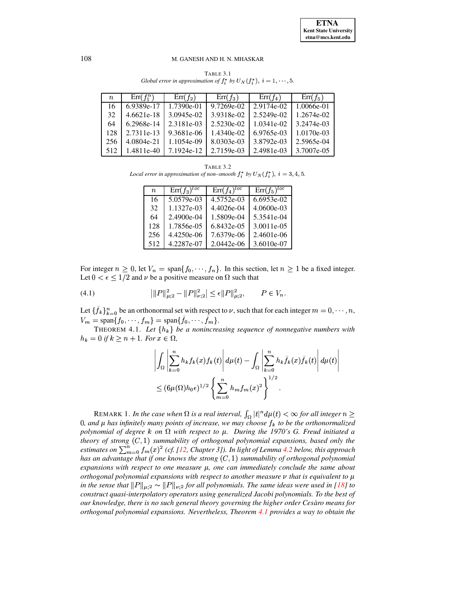<span id="page-7-0"></span>

| $n_{-}$ | $\text{Err}(f_1^n)$ | $\text{Err}(f_2)$ | $Err(f_3)$   | $Err(f_4)$   | $Err(f_5)$ |
|---------|---------------------|-------------------|--------------|--------------|------------|
| 16      | 6.9389e-17          | 1.7390e-01        | 9.7269e-02   | 2.9174e-02   | 1.0066e-01 |
| 32      | 4.6621e-18          | 3.0945e-02        | 3.9318e-02   | 2.5249e-02   | 1.2674e-02 |
| 64      | 6.2968e-14          | 2.3181e-03        | 2.5230e-02   | $1.0341e-02$ | 3.2474e-03 |
| 128     | 2.7311e-13          | 9.3681e-06        | $1.4340e-02$ | 6.9765e-03   | 1.0170e-03 |
| 256     | 4.0804e-21          | 1.1054e-09        | 8.0303e-03   | 3.8792e-03   | 2.5965e-04 |
| 512     | 1.4811e-40          | 7.1924e-12        | 2.7159e-03   | 2.4981e-03   | 3.7007e-05 |

TABLE 3.1 *Global error in approximation of*  $f_i^*$  *by*  $U_N(f_i^*)$ ,  $i = 1, \dots, 5$ .

<span id="page-7-1"></span>TABLE 3.2 *Local error in approximation of non–smooth*  $f_i^*$  *by*  $U_N(f_i^*)$ ,  $i = 3, 4, 5$ .

| $\boldsymbol{n}$ | $\text{Err}(f_3)^{loc}$ | $\text{Err}(f_4)^{loc}$ | $\text{Err}(f_5)^{loc}$ |
|------------------|-------------------------|-------------------------|-------------------------|
| 16               | $5.0579e-03$            | 4.5752e-03              | 6.6953e-02              |
| 32               | 1.1327e-03              | 4.4026e-04              | 4.0600e-03              |
| 64               | $2.4900e-04$            | 1.5809e-04              | 5.3541e-04              |
| 128              | 1.7856e-05              | 6.8432e-05              | 3.0011e-05              |
| 256              | 4.4250e-06              | 7.6379e-06              | 2.4601e-06              |
| 512              | 4.2287e-07              | 2.0442e-06              | 3.6010e-07              |

For integer  $n \geq 0$ , let  $V_n = \text{span} \{f_0, \dots, f_n\}$ . In this section, let  $n \geq 1$  be a fixed integer. Let  $0 < \epsilon \leq 1/2$  and  $\nu$  be a positive measure on  $\Omega$  such that

<span id="page-7-3"></span>(4.1) 
$$
\left| \|P\|_{\mu;2}^2 - \|P\|_{\nu;2}^2 \right| \le \epsilon \|P\|_{\mu;2}^2, \qquad P \in V_n.
$$

Let  $\{\tilde{f}_k\}_{k=0}^n$  be an orthonormal set with respect to  $\nu$ , such that for each integer  $m=0,\cdots,n$ ,  $V_m = \text{span}\{f_0, \dots, f_m\} = \text{span}\{f_0, \dots, f_m\}.$ 

**THEOREM 4.1.** Let  $\{h_k\}$  be a nonincreasing sequence of nonnegative numbers with  $h_k = 0$  if  $k \geq n+1$ . For  $x \in \Omega$ ,

<span id="page-7-2"></span>
$$
\left| \int_{\Omega} \left| \sum_{k=0}^{n} h_k f_k(x) f_k(t) \right| d\mu(t) - \int_{\Omega} \left| \sum_{k=0}^{n} h_k \tilde{f}_k(x) \tilde{f}_k(t) \right| d\mu(t) \right|
$$
  

$$
\leq (6\mu(\Omega) h_0 \epsilon)^{1/2} \left\{ \sum_{m=0}^{n} h_m f_m(x)^2 \right\}^{1/2}.
$$

REMARK 1. In the case when  $\Omega$  is a real interval,  $\int_{\Omega} |t|^n d\mu(t) < \infty$  for all integer  $n \geq 0$  $0$ , and  $\mu$  has infinitely many points of increase, we may choose  $f_k$  to be the orthonormalized *polynomial of degree*  $k$  *on*  $\Omega$  *with respect to*  $\mu$ *. During the 1970's G. Freud initiated a theory of strong*  $(C, 1)$  *summability of orthogonal polynomial expansions, based only the*  $\lim_{m \to \infty} \int_{m}^{n} f_m(x)^2$  (cf. [\[12,](#page-12-16) Chapter 3]). In light of Lemma [4.2](#page-8-0) below, this approach *has* an advantage that if one knows the strong  $(C, 1)$  summability of orthogonal polynomial *expansions* with *respect* to one *measure*  $\mu$ , one can *immediately* conclude the same about *orthogonal polynomial expansions with respect to another measure*  $\nu$  *that is equivalent to*  $\mu$ *in the sense that*  $||P||_{\mu,2} \sim ||P||_{\nu,2}$  *for all polynomials. The same ideas were used in* [\[18\]](#page-12-17) *to construct quasi-interpolatory operators using generalized Jacobi polynomials. To the best of our knowledge, there is no such general theory governing the higher order Cesar` o means for orthogonal polynomial expansions. Nevertheless, Theorem [4.1](#page-7-2) provides a way to obtain the*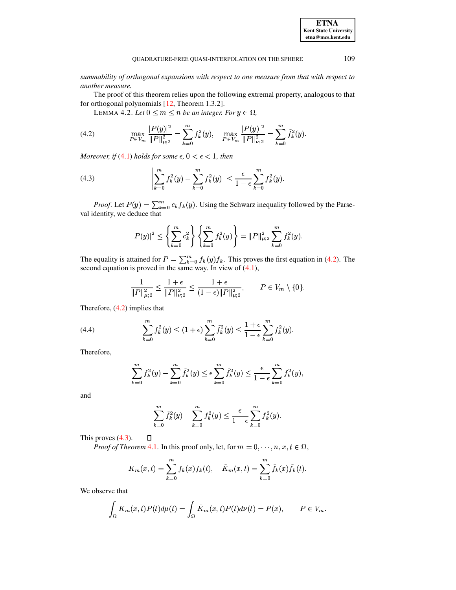summability of orthogonal expansions with respect to one measure from that with respect to another measure.

<span id="page-8-0"></span>The proof of this theorem relies upon the following extremal property, analogous to that for orthogonal polynomials  $[12,$  Theorem 1.3.2].

LEMMA 4.2. Let  $0 \leq m \leq n$  be an integer. For  $y \in \Omega$ ,

<span id="page-8-1"></span>(4.2) 
$$
\max_{P \in V_m} \frac{|P(y)|^2}{\|P\|_{\mu;2}^2} = \sum_{k=0}^m f_k^2(y), \quad \max_{P \in V_m} \frac{|P(y)|^2}{\|P\|_{\nu;2}^2} = \sum_{k=0}^m \tilde{f}_k^2(y)
$$

Moreover, if (4.1) holds for some  $\epsilon$ ,  $0 < \epsilon < 1$ , then

<span id="page-8-2"></span>(4.3) 
$$
\left| \sum_{k=0}^{m} f_k^2(y) - \sum_{k=0}^{m} \tilde{f}_k^2(y) \right| \leq \frac{\epsilon}{1-\epsilon} \sum_{k=0}^{m} f_k^2(y).
$$

*Proof.* Let  $P(y) = \sum_{k=0}^{m} c_k f_k(y)$ . Using the Schwarz inequality followed by the Parseval identity, we deduce that

$$
|P(y)|^2 \le \left\{ \sum_{k=0}^m c_k^2 \right\} \left\{ \sum_{k=0}^m f_k^2(y) \right\} = ||P||_{\mu,2}^2 \sum_{k=0}^m f_k^2(y).
$$

The equality is attained for  $P = \sum_{k=0}^{m} f_k(y) f_k$ . This proves the first equation in (4.2). The second equation is proved in the same way. In view of  $(4.1)$ ,

$$
\frac{1}{\|P\|_{\mu;2}^2} \le \frac{1+\epsilon}{\|P\|_{\nu;2}^2} \le \frac{1+\epsilon}{(1-\epsilon)\|P\|_{\mu;2}^2}, \qquad P \in V_m \setminus \{0\}.
$$

Therefore,  $(4.2)$  implies that

<span id="page-8-3"></span>(4.4) 
$$
\sum_{k=0}^{m} f_k^2(y) \le (1+\epsilon) \sum_{k=0}^{m} \tilde{f}_k^2(y) \le \frac{1+\epsilon}{1-\epsilon} \sum_{k=0}^{m} f_k^2(y).
$$

Therefore,

$$
\sum_{k=0}^{m} f_k^2(y) - \sum_{k=0}^{m} \tilde{f}_k^2(y) \le \epsilon \sum_{k=0}^{m} \tilde{f}_k^2(y) \le \frac{\epsilon}{1-\epsilon} \sum_{k=0}^{m} f_k^2(y)
$$

and

$$
\sum_{k=0}^{m} \tilde{f}_{k}^{2}(y) - \sum_{k=0}^{m} f_{k}^{2}(y) \le \frac{\epsilon}{1-\epsilon} \sum_{k=0}^{m} f_{k}^{2}(y).
$$

This proves  $(4.3)$ .

 $\Box$ 

*Proof of Theorem 4.1.* In this proof only, let, for  $m = 0, \dots, n, x, t \in \Omega$ ,

$$
K_m(x,t) = \sum_{k=0}^m f_k(x) f_k(t), \quad \tilde{K}_m(x,t) = \sum_{k=0}^m \tilde{f}_k(x) \tilde{f}_k(t).
$$

We observe that

$$
\int_{\Omega} K_m(x,t)P(t)d\mu(t) = \int_{\Omega} \tilde{K}_m(x,t)P(t)d\nu(t) = P(x), \qquad P \in V_m.
$$

**ETNA Kent State University**  $etna@mcs. kent.edu$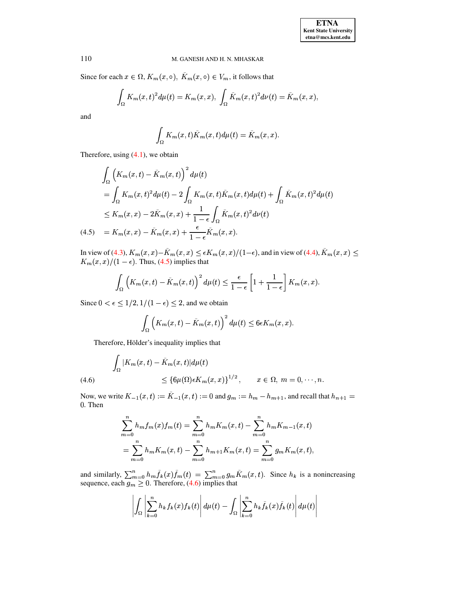Since for each  $x \in \Omega$ ,  $K_m(x, \circ)$ ,  $K_m(x, \circ) \in V_m$ , it follows that

$$
\int_{\Omega} K_m(x,t)^2 d\mu(t) = K_m(x,x), \int_{\Omega} \tilde{K}_m(x,t)^2 d\nu(t) = \tilde{K}_m(x,x),
$$

and

$$
\int_{\Omega} K_m(x,t)\tilde{K}_m(x,t)d\mu(t) = \tilde{K}_m(x,x).
$$

Therefore, using  $(4.1)$ , we obtain

<span id="page-9-0"></span>
$$
\int_{\Omega} \left( K_m(x, t) - \tilde{K}_m(x, t) \right)^2 d\mu(t)
$$
\n
$$
= \int_{\Omega} K_m(x, t)^2 d\mu(t) - 2 \int_{\Omega} K_m(x, t) \tilde{K}_m(x, t) d\mu(t) + \int_{\Omega} \tilde{K}_m(x, t)^2 d\mu(t)
$$
\n
$$
\leq K_m(x, x) - 2\tilde{K}_m(x, x) + \frac{1}{1 - \epsilon} \int_{\Omega} \tilde{K}_m(x, t)^2 d\nu(t)
$$
\n(4.5) =  $K_m(x, x) - \tilde{K}_m(x, x) + \frac{\epsilon}{1 - \epsilon} \tilde{K}_m(x, x).$ 

In view of (4.3),  $K_m(x, x) - \tilde{K}_m(x, x) \le \epsilon K_m(x, x)/(1-\epsilon)$ , and in view of (4.4),  $\tilde{K}_m(x, x) \le K_m(x, x)/(1-\epsilon)$ . Thus, (4.5) implies that

$$
\int_{\Omega} \left( K_m(x,t) - \tilde{K}_m(x,t) \right)^2 d\mu(t) \leq \frac{\epsilon}{1-\epsilon} \left[ 1 + \frac{1}{1-\epsilon} \right] K_m(x,x).
$$

Since  $0 < \epsilon \leq 1/2$ ,  $1/(1 - \epsilon) \leq 2$ , and we obtain

$$
\int_{\Omega} \left( K_m(x,t) - \tilde{K}_m(x,t) \right)^2 d\mu(t) \leq 6\epsilon K_m(x,x).
$$

Therefore, Hölder's inequality implies that

<span id="page-9-1"></span>(4.6) 
$$
\int_{\Omega} |K_m(x,t) - \tilde{K}_m(x,t)| d\mu(t)
$$

$$
\leq {\lbrace 6\mu(\Omega) \in K_m(x,x) \rbrace}^{1/2}, \qquad x \in \Omega, \ m = 0, \cdots, n.
$$

Now, we write  $K_{-1}(x,t) := \tilde{K}_{-1}(x,t) := 0$  and  $g_m := h_m - h_{m+1}$ , and recall that  $h_{n+1} =$  $0.$  Then

$$
\sum_{m=0}^{n} h_m f_m(x) f_m(t) = \sum_{m=0}^{n} h_m K_m(x, t) - \sum_{m=0}^{n} h_m K_{m-1}(x, t)
$$
  
= 
$$
\sum_{m=0}^{n} h_m K_m(x, t) - \sum_{m=0}^{n} h_{m+1} K_m(x, t) = \sum_{m=0}^{n} g_m K_m(x, t),
$$

and similarly,  $\sum_{m=0}^{n} h_m \tilde{f}_k(x) \tilde{f}_m(t) = \sum_{m=0}^{n} g_m \tilde{K}_m(x, t)$ . Since  $h_k$  is a nonincreasing sequence, each  $g_m \ge 0$ . Therefore, (4.6) implies that

$$
\left| \int_{\Omega} \left| \sum_{k=0}^{n} h_{k} f_{k}(x) f_{k}(t) \right| d\mu(t) - \int_{\Omega} \left| \sum_{k=0}^{n} h_{k} \tilde{f}_{k}(x) \tilde{f}_{k}(t) \right| d\mu(t) \right|
$$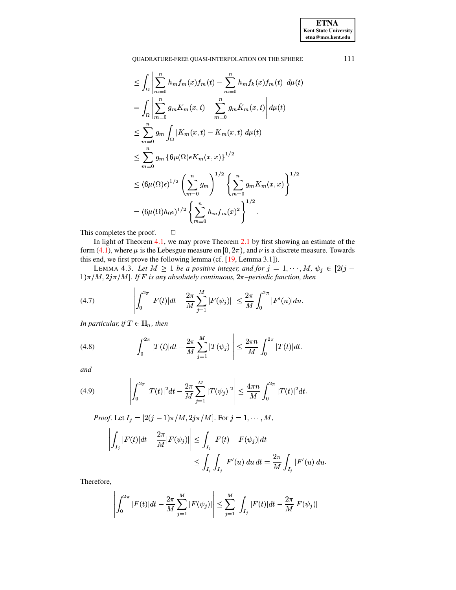$$
\leq \int_{\Omega} \left| \sum_{m=0}^{n} h_m f_m(x) f_m(t) - \sum_{m=0}^{n} h_m \tilde{f}_k(x) \tilde{f}_m(t) \right| d\mu(t)
$$
  
\n
$$
= \int_{\Omega} \left| \sum_{m=0}^{n} g_m K_m(x, t) - \sum_{m=0}^{n} g_m \tilde{K}_m(x, t) \right| d\mu(t)
$$
  
\n
$$
\leq \sum_{m=0}^{n} g_m \int_{\Omega} |K_m(x, t) - \tilde{K}_m(x, t)| d\mu(t)
$$
  
\n
$$
\leq \sum_{m=0}^{n} g_m \left\{ 6\mu(\Omega) \epsilon K_m(x, x) \right\}^{1/2}
$$
  
\n
$$
\leq (6\mu(\Omega) \epsilon)^{1/2} \left( \sum_{m=0}^{n} g_m \right)^{1/2} \left\{ \sum_{m=0}^{n} g_m K_m(x, x) \right\}^{1/2}
$$
  
\n
$$
= (6\mu(\Omega) h_0 \epsilon)^{1/2} \left\{ \sum_{m=0}^{n} h_m f_m(x)^2 \right\}^{1/2}.
$$

This completes the proof.  $\Box$ 

In light of Theorem [4.1,](#page-7-2) we may prove Theorem [2.1](#page-2-3) by first showing an estimate of the form [\(4.1\)](#page-7-3), where  $\mu$  is the Lebesgue measure on  $[0, 2\pi)$ , and  $\nu$  is a discrete measure. Towards this end, we first prove the following lemma (cf. [\[19,](#page-13-3) Lemma 3.1]).

LEMMA 4.3. Let  $M \geq 1$  be a positive integer, and for  $j = 1, \dots, M$ ,  $\psi_j \in [2(j - 1, \dots, M)]$  $(1)\pi/M, 2j\pi/M$ . If F is any absolutely continuous,  $2\pi$ –periodic function, then

<span id="page-10-0"></span>(4.7) 
$$
\left| \int_0^{2\pi} |F(t)| dt - \frac{2\pi}{M} \sum_{j=1}^M |F(\psi_j)| \right| \leq \frac{2\pi}{M} \int_0^{2\pi} |F'(u)| du.
$$

In particular, if  $T \in \mathbb{H}_n$  , then

<span id="page-10-1"></span>(4.8) 
$$
\left| \int_0^{2\pi} |T(t)| dt - \frac{2\pi}{M} \sum_{j=1}^M |T(\psi_j)| \right| \leq \frac{2\pi n}{M} \int_0^{2\pi} |T(t)| dt.
$$

*and*

<span id="page-10-2"></span>(4.9) 
$$
\left| \int_0^{2\pi} |T(t)|^2 dt - \frac{2\pi}{M} \sum_{j=1}^M |T(\psi_j)|^2 \right| \leq \frac{4\pi n}{M} \int_0^{2\pi} |T(t)|^2 dt.
$$

*Proof.* Let  $I_j = [2(j-1)\pi/M, 2j\pi/M]$ . For  $j = 1, \dots, M$ ,

$$
\left| \int_{I_j} |F(t)| dt - \frac{2\pi}{M} |F(\psi_j)| \right| \leq \int_{I_j} |F(t) - F(\psi_j)| dt
$$
  

$$
\leq \int_{I_j} \int_{I_j} |F'(u)| du dt = \frac{2\pi}{M} \int_{I_j} |F'(u)| du.
$$

Therefore,

$$
\left| \int_0^{2\pi} |F(t)| dt - \frac{2\pi}{M} \sum_{j=1}^M |F(\psi_j)| \right| \leq \sum_{j=1}^M \left| \int_{I_j} |F(t)| dt - \frac{2\pi}{M} |F(\psi_j)| \right|
$$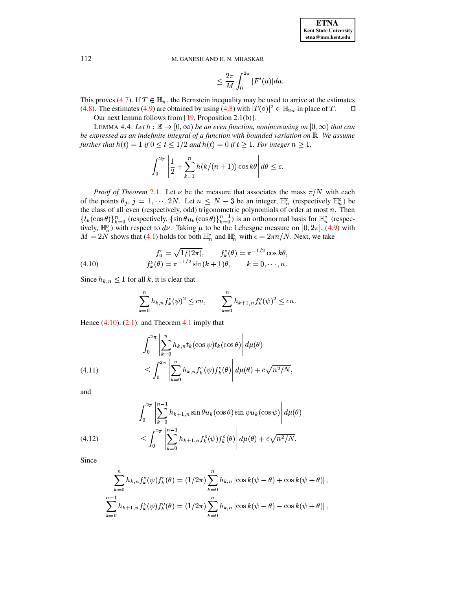$$
\leq \frac{2\pi}{M}\int_0^{2\pi}|F'(u)|du
$$

This proves (4.7). If  $T \in \mathbb{H}_n$ , the Bernstein inequality may be used to arrive at the estimates (4.8). The estimates (4.9) are obtained by using (4.8) with  $|T(\circ)|^2 \in \mathbb{H}_{2n}$  in place of T.  $\Box$ 

Our next lemma follows from  $[19,$  Proposition 2.1(b)].

<span id="page-11-1"></span>LEMMA 4.4. Let  $h : \mathbb{R} \to [0, \infty)$  be an even function, nonincreasing on  $[0, \infty)$  that can be expressed as an indefinite integral of a function with bounded variation on  $\mathbb R$ . We assume further that  $h(t) = 1$  if  $0 \le t \le 1/2$  and  $h(t) = 0$  if  $t \ge 1$ . For integer  $n \ge 1$ ,

$$
\int_0^{2\pi} \left| \frac{1}{2} + \sum_{k=1}^n h(k/(n+1)) \cos k\theta \right| d\theta \leq c.
$$

*Proof of Theorem* 2.1. Let  $\nu$  be the measure that associates the mass  $\pi/N$  with each of the points  $\theta_j$ ,  $j = 1, \dots, 2N$ . Let  $n \leq N - 3$  be an integer,  $\mathbb{H}_n^e$  (respectively  $\mathbb{H}_n^o$ ) be the class of all even (respectively, odd) trigonometric polynomials of order at most  $n$ . Then  ${t_k(\cos\theta)}_{k=0}^n$  (respectively,  ${\sin\theta u_k(\cos\theta)}_{k=0}^{n-1}$ ) is an orthonormal basis for  $\mathbb{H}_n^e$  (respectively,  $\mathbb{H}_n^o$ ) with respect to  $d\nu$ . Taking  $\mu$  to be the Lebesgue measure on [0, 2 $\pi$ ], (4.9) with  $M = 2N$  shows that (4.1) holds for both  $\mathbb{H}_n^e$  and  $\mathbb{H}_n^o$  with  $\epsilon = 2\pi n/N$ . Next, we take

<span id="page-11-0"></span>(4.10) 
$$
f_0^e = \sqrt{1/(2\pi)}, \qquad f_k^e(\theta) = \pi^{-1/2} \cos k\theta,
$$

$$
f_k^o(\theta) = \pi^{-1/2} \sin(k+1)\theta, \qquad k = 0, \dots, n.
$$

Since  $h_{k,n} \leq 1$  for all k, it is clear that

$$
\sum_{k=0}^{n} h_{k,n} f_k^e(\psi)^2 \le cn, \qquad \sum_{k=0}^{n} h_{k+1,n} f_k^o(\psi)^2 \le cn.
$$

Hence  $(4.10)$ ,  $(2.1)$ . and Theorem 4.1 imply that

<span id="page-11-2"></span>(4.11) 
$$
\int_0^{2\pi} \left| \sum_{k=0}^n h_{k,n} t_k(\cos \psi) t_k(\cos \theta) \right| d\mu(\theta)
$$

$$
\leq \int_0^{2\pi} \left| \sum_{k=0}^n h_{k,n} f_k^e(\psi) f_k^e(\theta) \right| d\mu(\theta) + c\sqrt{n^2/N},
$$

and

<span id="page-11-3"></span>(4.12) 
$$
\int_0^{2\pi} \left| \sum_{k=0}^{n-1} h_{k+1,n} \sin \theta u_k(\cos \theta) \sin \psi u_k(\cos \psi) \right| d\mu(\theta) \n\leq \int_0^{2\pi} \left| \sum_{k=0}^{n-1} h_{k+1,n} f_k^o(\psi) f_k^o(\theta) \right| d\mu(\theta) + c \sqrt{n^2/N}.
$$

Since

$$
\sum_{k=0}^{n} h_{k,n} f_{k}^{e}(\psi) f_{k}^{e}(\theta) = (1/2\pi) \sum_{k=0}^{n} h_{k,n} \left[ \cos k(\psi - \theta) + \cos k(\psi + \theta) \right],
$$
  

$$
\sum_{k=0}^{n-1} h_{k+1,n} f_{k}^{o}(\psi) f_{k}^{o}(\theta) = (1/2\pi) \sum_{k=0}^{n} h_{k,n} \left[ \cos k(\psi - \theta) - \cos k(\psi + \theta) \right],
$$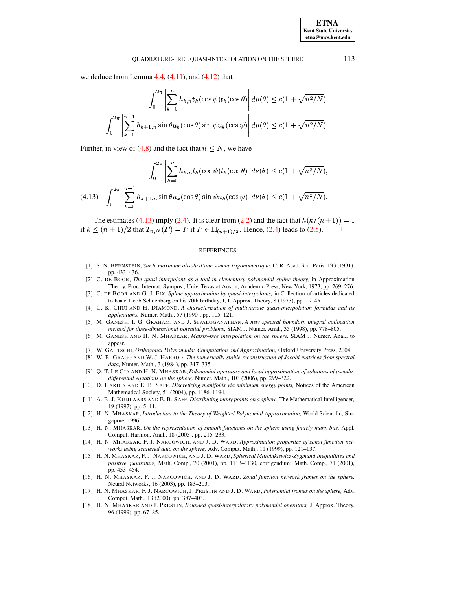we deduce from Lemma  $4.4$ ,  $(4.11)$ , and  $(4.12)$  that

$$
\int_0^{2\pi} \left| \sum_{k=0}^n h_{k,n} t_k(\cos \psi) t_k(\cos \theta) \right| d\mu(\theta) \le c(1 + \sqrt{n^2/N}).
$$

$$
\int_0^{2\pi} \left| \sum_{k=0}^{n-1} h_{k+1,n} \sin \theta u_k(\cos \theta) \sin \psi u_k(\cos \psi) \right| d\mu(\theta) \le c(1 + \sqrt{n^2/N}).
$$

Further, in view of (4.8) and the fact that  $n \leq N$ , we have

<span id="page-12-18"></span>
$$
\int_0^{2\pi} \left| \sum_{k=0}^n h_{k,n} t_k(\cos \psi) t_k(\cos \theta) \right| d\nu(\theta) \le c(1 + \sqrt{n^2/N}),
$$
  
(4.13) 
$$
\int_0^{2\pi} \left| \sum_{k=0}^{n-1} h_{k+1,n} \sin \theta u_k(\cos \theta) \sin \psi u_k(\cos \psi) \right| d\nu(\theta) \le c(1 + \sqrt{n^2/N}).
$$

The estimates (4.13) imply (2.4). It is clear from (2.2) and the fact that  $h(k/(n+1)) = 1$ if  $k \le (n+1)/2$  that  $T_{n,N}(P) = P$  if  $P \in \mathbb{H}_{(n+1)/2}$ . Hence, (2.4) leads to (2.5).  $\Box$ 

### **REFERENCES**

- <span id="page-12-3"></span>[1] S. N. BERNSTEIN, Sur le maximum absolu d'une somme trigonométrique, C. R. Acad. Sci. Paris, 193 (1931), pp. 433-436.
- <span id="page-12-0"></span>[2] C. DE BOOR, The quasi-interpolant as a tool in elementary polynomial spline theory, in Approximation Theory, Proc. Internat. Sympos., Univ. Texas at Austin, Academic Press, New York, 1973, pp. 269-276.
- <span id="page-12-1"></span>[3] C. DE BOOR AND G. J. FIX, Spline approximation by quasi-interpolants, in Collection of articles dedicated to Isaac Jacob Schoenberg on his 70th birthday, I, J. Approx. Theory, 8 (1973), pp. 19–45.
- <span id="page-12-12"></span><span id="page-12-2"></span>[4] C. K. CHUI AND H. DIAMOND, A characterization of multivariate quasi-interpolation formulas and its applications, Numer. Math., 57 (1990), pp. 105-121.
- [5] M. GANESH, I. G. GRAHAM, AND J. SIVALOGANATHAN, A new spectral boundary integral collocation method for three-dimensional potential problems, SIAM J. Numer. Anal., 35 (1998), pp. 778-805.
- <span id="page-12-13"></span>[6] M. GANESH AND H. N. MHASKAR, Matrix-free interpolation on the sphere, SIAM J. Numer. Anal., to appear.
- <span id="page-12-15"></span><span id="page-12-14"></span>[7] W. GAUTSCHI, Orthogonal Polynomials: Computation and Approximation, Oxford University Press, 2004.
- [8] W. B. GRAGG AND W. J. HARROD, The numerically stable reconstruction of Jacobi matrices from spectral data, Numer. Math., 3 (1984), pp. 317-335.
- <span id="page-12-10"></span>[9] Q. T. LE GIA AND H. N. MHASKAR, Polynomial operators and local approximation of solutions of pseudodifferential equations on the sphere, Numer. Math., 103 (2006), pp. 299–322.
- <span id="page-12-4"></span>[10] D. HARDIN AND E. B. SAFF, Discretizing manifolds via minimum energy points, Notices of the American Mathematical Society, 51 (2004), pp. 1186-1194.
- <span id="page-12-5"></span>[11] A. B. J. KUIJLAARS AND E. B. SAFF, Distributing many points on a sphere, The Mathematical Intelligencer, 19 (1997), pp. 5-11.
- <span id="page-12-16"></span>[12] H. N. MHASKAR, Introduction to the Theory of Weighted Polynomial Approximation, World Scientific, Singapore, 1996.
- <span id="page-12-9"></span>[13] H. N. MHASKAR, On the representation of smooth functions on the sphere using finitely many bits, Appl. Comput. Harmon. Anal., 18 (2005), pp. 215-233.
- <span id="page-12-6"></span>[14] H. N. MHASKAR, F. J. NARCOWICH, AND J. D. WARD, Approximation properties of zonal function networks using scattered data on the sphere, Adv. Comput. Math., 11 (1999), pp. 121-137.
- <span id="page-12-11"></span>[15] H. N. MHASKAR, F. J. NARCOWICH, AND J. D. WARD, Spherical Marcinkiewicz-Zygmund inequalities and positive quadrature, Math. Comp., 70 (2001), pp. 1113-1130, corrigendum: Math. Comp., 71 (2001), pp. 453-454.
- <span id="page-12-8"></span>[16] H. N. MHASKAR, F. J. NARCOWICH, AND J. D. WARD, Zonal function network frames on the sphere, Neural Networks, 16 (2003), pp. 183-203.
- <span id="page-12-7"></span>[17] H. N. MHASKAR, F. J. NARCOWICH, J. PRESTIN AND J. D. WARD, Polynomial frames on the sphere, Adv. Comput. Math., 13 (2000), pp. 387-403.
- <span id="page-12-17"></span>[18] H. N. MHASKAR AND J. PRESTIN, Bounded quasi-interpolatory polynomial operators, J. Approx. Theory, 96 (1999), pp. 67-85.